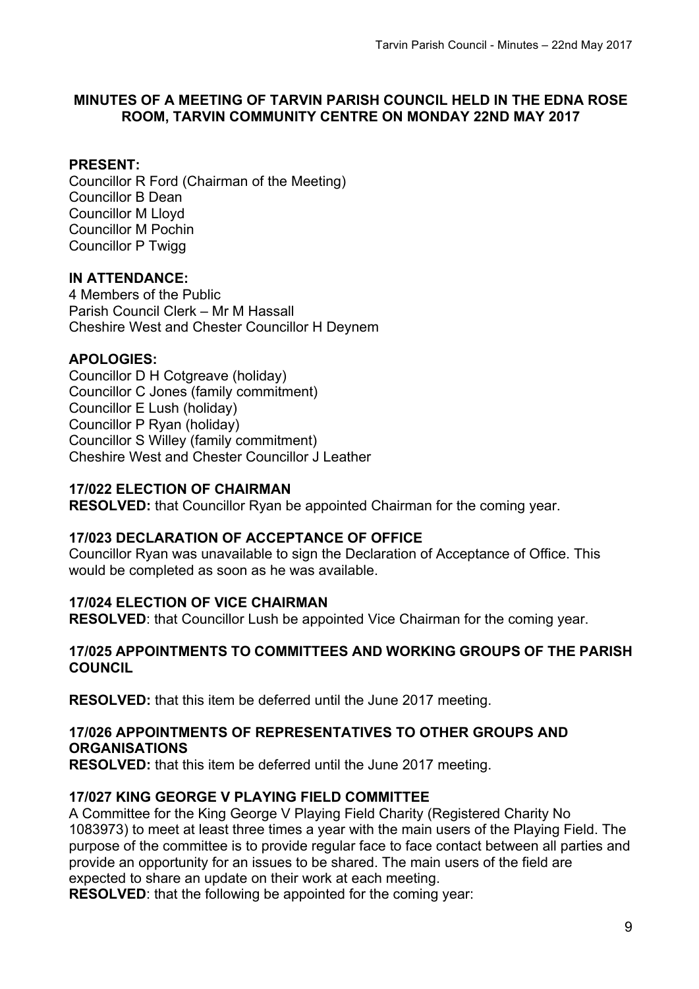### **MINUTES OF A MEETING OF TARVIN PARISH COUNCIL HELD IN THE EDNA ROSE ROOM, TARVIN COMMUNITY CENTRE ON MONDAY 22ND MAY 2017**

### **PRESENT:**

Councillor R Ford (Chairman of the Meeting) Councillor B Dean Councillor M Lloyd Councillor M Pochin Councillor P Twigg

### **IN ATTENDANCE:**

4 Members of the Public Parish Council Clerk – Mr M Hassall Cheshire West and Chester Councillor H Deynem

### **APOLOGIES:**

Councillor D H Cotgreave (holiday) Councillor C Jones (family commitment) Councillor E Lush (holiday) Councillor P Ryan (holiday) Councillor S Willey (family commitment) Cheshire West and Chester Councillor J Leather

### **17/022 ELECTION OF CHAIRMAN**

**RESOLVED:** that Councillor Ryan be appointed Chairman for the coming year.

#### **17/023 DECLARATION OF ACCEPTANCE OF OFFICE**

Councillor Ryan was unavailable to sign the Declaration of Acceptance of Office. This would be completed as soon as he was available.

### **17/024 ELECTION OF VICE CHAIRMAN**

**RESOLVED**: that Councillor Lush be appointed Vice Chairman for the coming year.

#### **17/025 APPOINTMENTS TO COMMITTEES AND WORKING GROUPS OF THE PARISH COUNCIL**

**RESOLVED:** that this item be deferred until the June 2017 meeting.

#### **17/026 APPOINTMENTS OF REPRESENTATIVES TO OTHER GROUPS AND ORGANISATIONS**

**RESOLVED:** that this item be deferred until the June 2017 meeting.

### **17/027 KING GEORGE V PLAYING FIELD COMMITTEE**

A Committee for the King George V Playing Field Charity (Registered Charity No 1083973) to meet at least three times a year with the main users of the Playing Field. The purpose of the committee is to provide regular face to face contact between all parties and provide an opportunity for an issues to be shared. The main users of the field are expected to share an update on their work at each meeting.

**RESOLVED**: that the following be appointed for the coming year: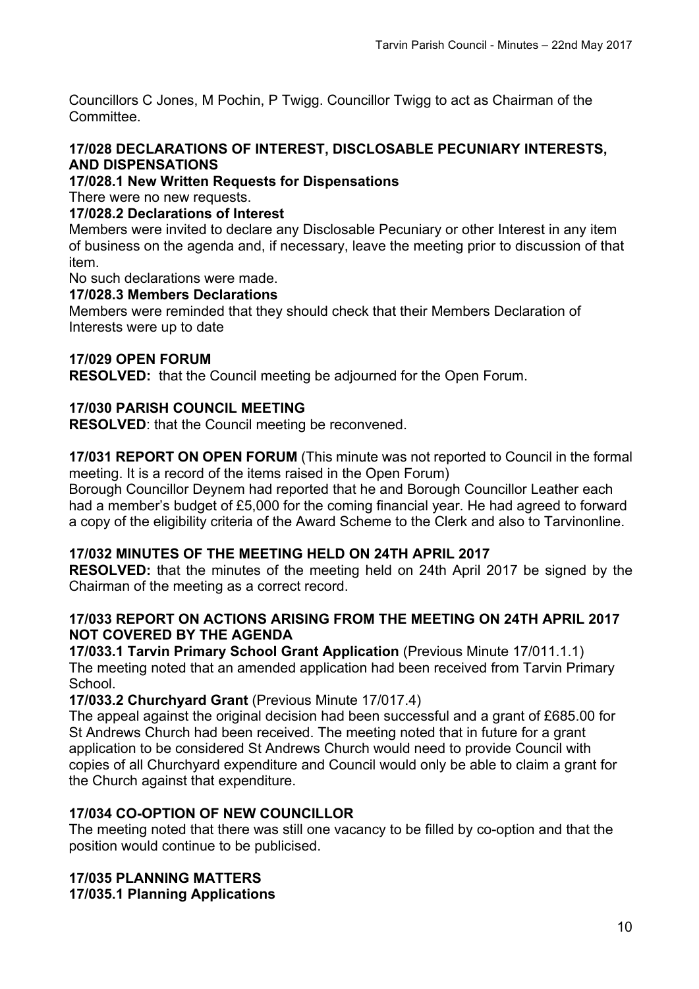Councillors C Jones, M Pochin, P Twigg. Councillor Twigg to act as Chairman of the Committee.

#### **17/028 DECLARATIONS OF INTEREST, DISCLOSABLE PECUNIARY INTERESTS, AND DISPENSATIONS**

### **17/028.1 New Written Requests for Dispensations**

There were no new requests.

### **17/028.2 Declarations of Interest**

Members were invited to declare any Disclosable Pecuniary or other Interest in any item of business on the agenda and, if necessary, leave the meeting prior to discussion of that item.

No such declarations were made.

### **17/028.3 Members Declarations**

Members were reminded that they should check that their Members Declaration of Interests were up to date

### **17/029 OPEN FORUM**

**RESOLVED:** that the Council meeting be adjourned for the Open Forum.

### **17/030 PARISH COUNCIL MEETING**

**RESOLVED**: that the Council meeting be reconvened.

**17/031 REPORT ON OPEN FORUM** (This minute was not reported to Council in the formal meeting. It is a record of the items raised in the Open Forum)

Borough Councillor Deynem had reported that he and Borough Councillor Leather each had a member's budget of £5,000 for the coming financial year. He had agreed to forward a copy of the eligibility criteria of the Award Scheme to the Clerk and also to Tarvinonline.

### **17/032 MINUTES OF THE MEETING HELD ON 24TH APRIL 2017**

**RESOLVED:** that the minutes of the meeting held on 24th April 2017 be signed by the Chairman of the meeting as a correct record.

#### **17/033 REPORT ON ACTIONS ARISING FROM THE MEETING ON 24TH APRIL 2017 NOT COVERED BY THE AGENDA**

**17/033.1 Tarvin Primary School Grant Application** (Previous Minute 17/011.1.1) The meeting noted that an amended application had been received from Tarvin Primary School.

### **17/033.2 Churchyard Grant** (Previous Minute 17/017.4)

The appeal against the original decision had been successful and a grant of £685.00 for St Andrews Church had been received. The meeting noted that in future for a grant application to be considered St Andrews Church would need to provide Council with copies of all Churchyard expenditure and Council would only be able to claim a grant for the Church against that expenditure.

### **17/034 CO-OPTION OF NEW COUNCILLOR**

The meeting noted that there was still one vacancy to be filled by co-option and that the position would continue to be publicised.

# **17/035 PLANNING MATTERS**

**17/035.1 Planning Applications**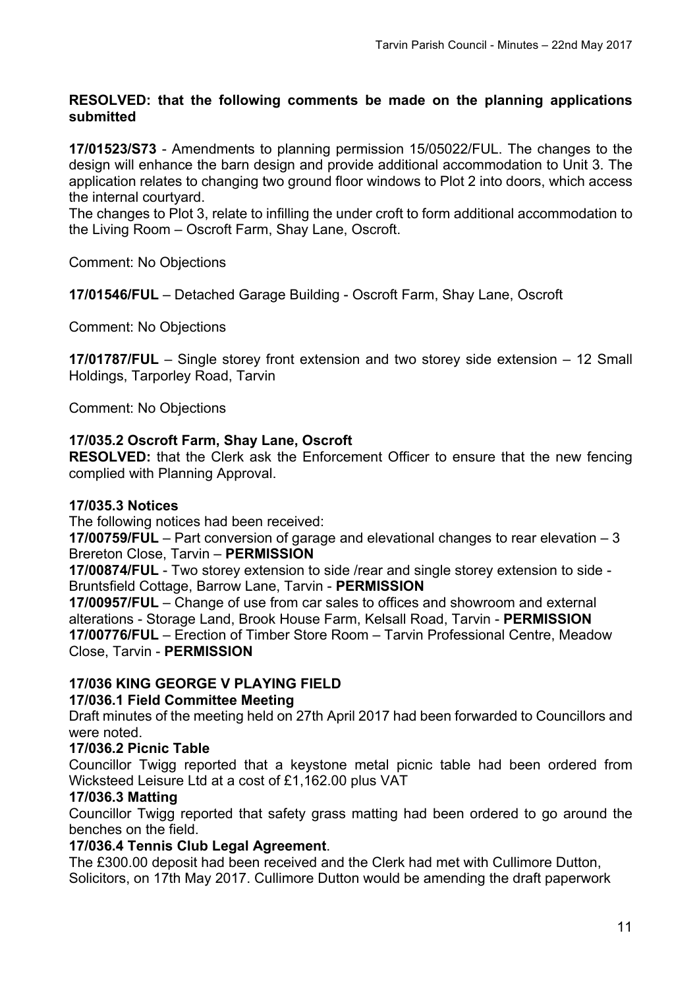### **RESOLVED: that the following comments be made on the planning applications submitted**

**17/01523/S73** - Amendments to planning permission 15/05022/FUL. The changes to the design will enhance the barn design and provide additional accommodation to Unit 3. The application relates to changing two ground floor windows to Plot 2 into doors, which access the internal courtyard.

The changes to Plot 3, relate to infilling the under croft to form additional accommodation to the Living Room – Oscroft Farm, Shay Lane, Oscroft.

Comment: No Objections

**17/01546/FUL** – Detached Garage Building - Oscroft Farm, Shay Lane, Oscroft

Comment: No Objections

**17/01787/FUL** – Single storey front extension and two storey side extension – 12 Small Holdings, Tarporley Road, Tarvin

Comment: No Objections

### **17/035.2 Oscroft Farm, Shay Lane, Oscroft**

**RESOLVED:** that the Clerk ask the Enforcement Officer to ensure that the new fencing complied with Planning Approval.

#### **17/035.3 Notices**

The following notices had been received:

**17/00759/FUL** – Part conversion of garage and elevational changes to rear elevation – 3 Brereton Close, Tarvin – **PERMISSION**

**17/00874/FUL** - Two storey extension to side /rear and single storey extension to side - Bruntsfield Cottage, Barrow Lane, Tarvin - **PERMISSION**

**17/00957/FUL** – Change of use from car sales to offices and showroom and external alterations - Storage Land, Brook House Farm, Kelsall Road, Tarvin - **PERMISSION 17/00776/FUL** – Erection of Timber Store Room – Tarvin Professional Centre, Meadow Close, Tarvin - **PERMISSION**

### **17/036 KING GEORGE V PLAYING FIELD**

#### **17/036.1 Field Committee Meeting**

Draft minutes of the meeting held on 27th April 2017 had been forwarded to Councillors and were noted.

#### **17/036.2 Picnic Table**

Councillor Twigg reported that a keystone metal picnic table had been ordered from Wicksteed Leisure Ltd at a cost of £1,162.00 plus VAT

#### **17/036.3 Matting**

Councillor Twigg reported that safety grass matting had been ordered to go around the benches on the field.

#### **17/036.4 Tennis Club Legal Agreement**.

The £300.00 deposit had been received and the Clerk had met with Cullimore Dutton, Solicitors, on 17th May 2017. Cullimore Dutton would be amending the draft paperwork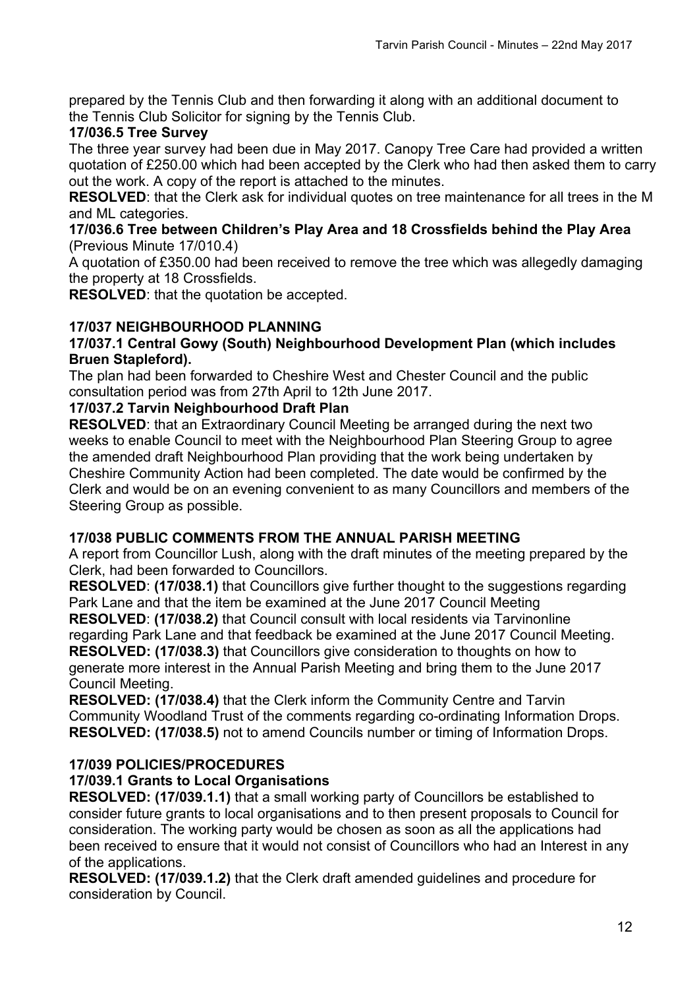prepared by the Tennis Club and then forwarding it along with an additional document to the Tennis Club Solicitor for signing by the Tennis Club.

# **17/036.5 Tree Survey**

The three year survey had been due in May 2017. Canopy Tree Care had provided a written quotation of £250.00 which had been accepted by the Clerk who had then asked them to carry out the work. A copy of the report is attached to the minutes.

**RESOLVED**: that the Clerk ask for individual quotes on tree maintenance for all trees in the M and ML categories.

#### **17/036.6 Tree between Children's Play Area and 18 Crossfields behind the Play Area**  (Previous Minute 17/010.4)

A quotation of £350.00 had been received to remove the tree which was allegedly damaging the property at 18 Crossfields.

**RESOLVED**: that the quotation be accepted.

# **17/037 NEIGHBOURHOOD PLANNING**

### **17/037.1 Central Gowy (South) Neighbourhood Development Plan (which includes Bruen Stapleford).**

The plan had been forwarded to Cheshire West and Chester Council and the public consultation period was from 27th April to 12th June 2017.

### **17/037.2 Tarvin Neighbourhood Draft Plan**

**RESOLVED:** that an Extraordinary Council Meeting be arranged during the next two weeks to enable Council to meet with the Neighbourhood Plan Steering Group to agree the amended draft Neighbourhood Plan providing that the work being undertaken by Cheshire Community Action had been completed. The date would be confirmed by the Clerk and would be on an evening convenient to as many Councillors and members of the Steering Group as possible.

### **17/038 PUBLIC COMMENTS FROM THE ANNUAL PARISH MEETING**

A report from Councillor Lush, along with the draft minutes of the meeting prepared by the Clerk, had been forwarded to Councillors.

**RESOLVED**: **(17/038.1)** that Councillors give further thought to the suggestions regarding Park Lane and that the item be examined at the June 2017 Council Meeting

**RESOLVED**: **(17/038.2)** that Council consult with local residents via Tarvinonline regarding Park Lane and that feedback be examined at the June 2017 Council Meeting. **RESOLVED: (17/038.3)** that Councillors give consideration to thoughts on how to generate more interest in the Annual Parish Meeting and bring them to the June 2017 Council Meeting.

**RESOLVED: (17/038.4)** that the Clerk inform the Community Centre and Tarvin Community Woodland Trust of the comments regarding co-ordinating Information Drops. **RESOLVED: (17/038.5)** not to amend Councils number or timing of Information Drops.

# **17/039 POLICIES/PROCEDURES**

# **17/039.1 Grants to Local Organisations**

**RESOLVED: (17/039.1.1)** that a small working party of Councillors be established to consider future grants to local organisations and to then present proposals to Council for consideration. The working party would be chosen as soon as all the applications had been received to ensure that it would not consist of Councillors who had an Interest in any of the applications.

**RESOLVED: (17/039.1.2)** that the Clerk draft amended guidelines and procedure for consideration by Council.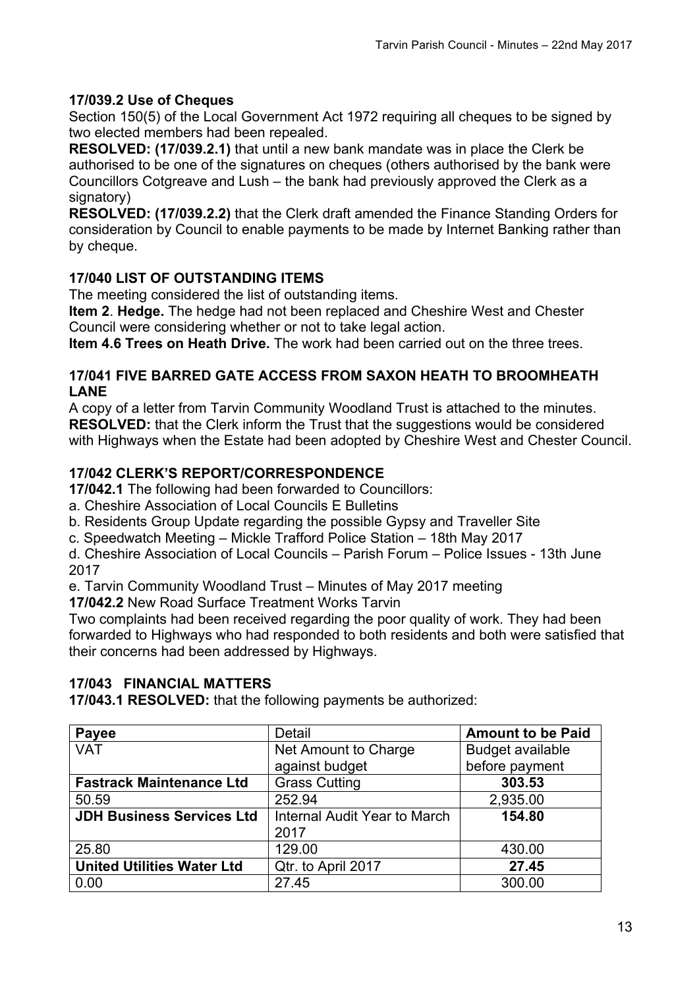# **17/039.2 Use of Cheques**

Section 150(5) of the Local Government Act 1972 requiring all cheques to be signed by two elected members had been repealed.

**RESOLVED: (17/039.2.1)** that until a new bank mandate was in place the Clerk be authorised to be one of the signatures on cheques (others authorised by the bank were Councillors Cotgreave and Lush – the bank had previously approved the Clerk as a signatory)

**RESOLVED: (17/039.2.2)** that the Clerk draft amended the Finance Standing Orders for consideration by Council to enable payments to be made by Internet Banking rather than by cheque.

# **17/040 LIST OF OUTSTANDING ITEMS**

The meeting considered the list of outstanding items.

**Item 2**. **Hedge.** The hedge had not been replaced and Cheshire West and Chester Council were considering whether or not to take legal action.

**Item 4.6 Trees on Heath Drive.** The work had been carried out on the three trees.

### **17/041 FIVE BARRED GATE ACCESS FROM SAXON HEATH TO BROOMHEATH LANE**

A copy of a letter from Tarvin Community Woodland Trust is attached to the minutes. **RESOLVED:** that the Clerk inform the Trust that the suggestions would be considered with Highways when the Estate had been adopted by Cheshire West and Chester Council.

# **17/042 CLERK'S REPORT/CORRESPONDENCE**

**17/042.1** The following had been forwarded to Councillors:

a. Cheshire Association of Local Councils E Bulletins

b. Residents Group Update regarding the possible Gypsy and Traveller Site

c. Speedwatch Meeting – Mickle Trafford Police Station – 18th May 2017

d. Cheshire Association of Local Councils – Parish Forum – Police Issues - 13th June 2017

e. Tarvin Community Woodland Trust – Minutes of May 2017 meeting

**17/042.2** New Road Surface Treatment Works Tarvin

Two complaints had been received regarding the poor quality of work. They had been forwarded to Highways who had responded to both residents and both were satisfied that their concerns had been addressed by Highways.

### **17/043 FINANCIAL MATTERS**

**17/043.1 RESOLVED:** that the following payments be authorized:

| <b>Payee</b>                      | <b>Detail</b>                        | <b>Amount to be Paid</b> |
|-----------------------------------|--------------------------------------|--------------------------|
| <b>VAT</b>                        | Net Amount to Charge                 | <b>Budget available</b>  |
|                                   | against budget                       | before payment           |
| <b>Fastrack Maintenance Ltd</b>   | <b>Grass Cutting</b>                 | 303.53                   |
| 50.59                             | 252.94                               | 2,935.00                 |
| <b>JDH Business Services Ltd</b>  | Internal Audit Year to March<br>2017 | 154.80                   |
| 25.80                             | 129.00                               | 430.00                   |
| <b>United Utilities Water Ltd</b> | Qtr. to April 2017                   | 27.45                    |
| 0.00                              | 27.45                                | 300.00                   |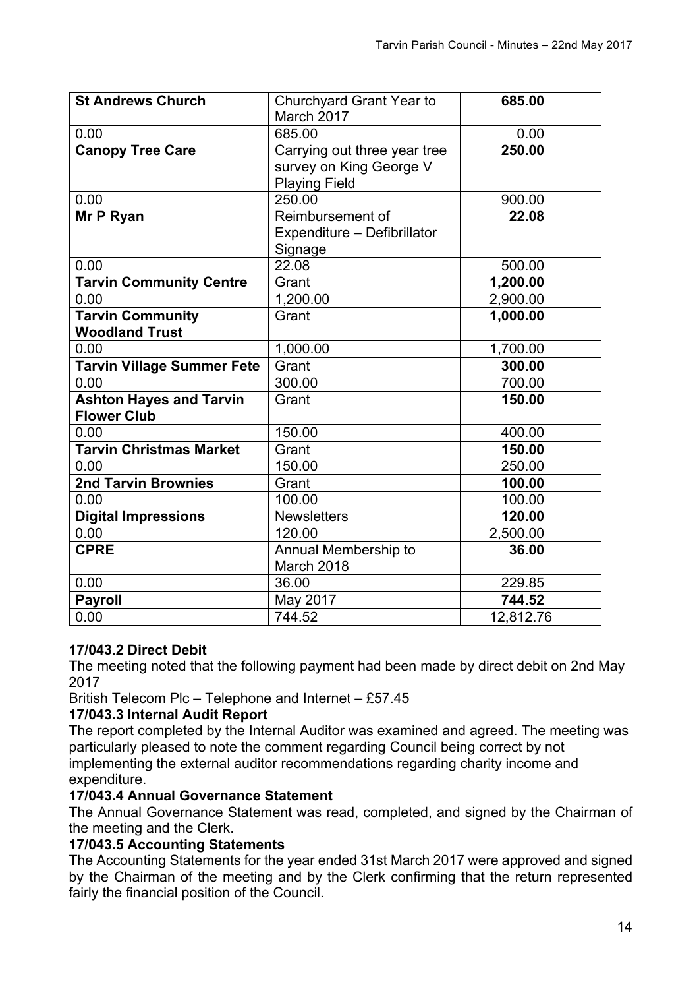| <b>St Andrews Church</b>          | Churchyard Grant Year to     | 685.00    |
|-----------------------------------|------------------------------|-----------|
|                                   | March 2017                   |           |
| 0.00                              | 685.00                       | 0.00      |
| <b>Canopy Tree Care</b>           | Carrying out three year tree | 250.00    |
|                                   | survey on King George V      |           |
|                                   | <b>Playing Field</b>         |           |
| 0.00                              | 250.00                       | 900.00    |
| Mr P Ryan                         | Reimbursement of             | 22.08     |
|                                   | Expenditure - Defibrillator  |           |
|                                   | Signage                      |           |
| 0.00                              | 22.08                        | 500.00    |
| <b>Tarvin Community Centre</b>    | Grant                        | 1,200.00  |
| 0.00                              | 1,200.00                     | 2,900.00  |
| <b>Tarvin Community</b>           | Grant                        | 1,000.00  |
| <b>Woodland Trust</b>             |                              |           |
| 0.00                              | 1,000.00                     | 1,700.00  |
| <b>Tarvin Village Summer Fete</b> | Grant                        | 300.00    |
| 0.00                              | 300.00                       | 700.00    |
| <b>Ashton Hayes and Tarvin</b>    | Grant                        | 150.00    |
| <b>Flower Club</b>                |                              |           |
| 0.00                              | 150.00                       | 400.00    |
| <b>Tarvin Christmas Market</b>    | Grant                        | 150.00    |
| 0.00                              | 150.00                       | 250.00    |
| <b>2nd Tarvin Brownies</b>        | Grant                        | 100.00    |
| 0.00                              | 100.00                       | 100.00    |
| <b>Digital Impressions</b>        | <b>Newsletters</b>           | 120.00    |
| 0.00                              | 120.00                       | 2,500.00  |
| <b>CPRE</b>                       | Annual Membership to         | 36.00     |
|                                   | March 2018                   |           |
| 0.00                              | 36.00                        | 229.85    |
| <b>Payroll</b>                    | May 2017                     | 744.52    |
| 0.00                              | 744.52                       | 12,812.76 |

# **17/043.2 Direct Debit**

The meeting noted that the following payment had been made by direct debit on 2nd May 2017

British Telecom Plc – Telephone and Internet – £57.45

### **17/043.3 Internal Audit Report**

The report completed by the Internal Auditor was examined and agreed. The meeting was particularly pleased to note the comment regarding Council being correct by not implementing the external auditor recommendations regarding charity income and expenditure.

### **17/043.4 Annual Governance Statement**

The Annual Governance Statement was read, completed, and signed by the Chairman of the meeting and the Clerk.

### **17/043.5 Accounting Statements**

The Accounting Statements for the year ended 31st March 2017 were approved and signed by the Chairman of the meeting and by the Clerk confirming that the return represented fairly the financial position of the Council.